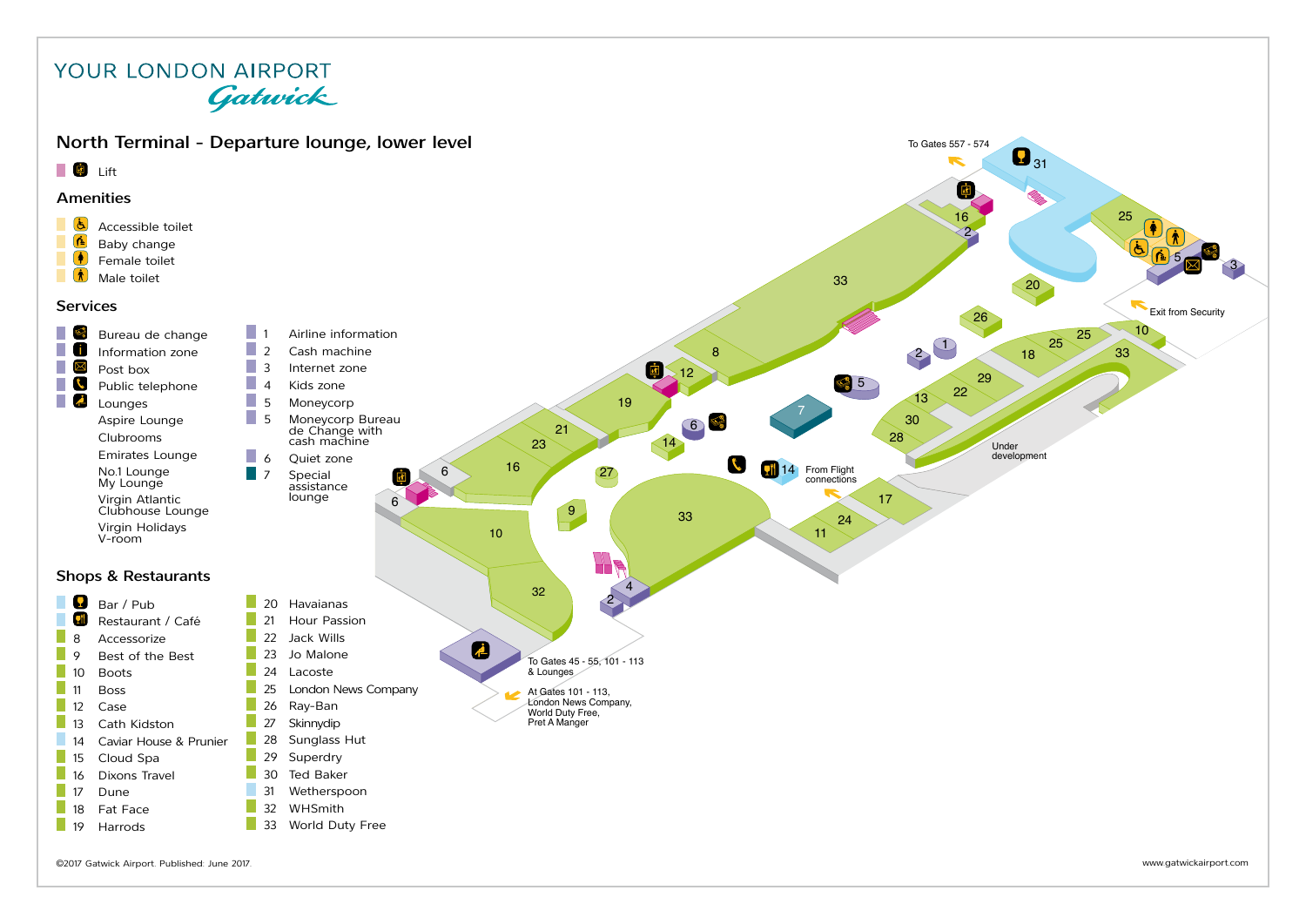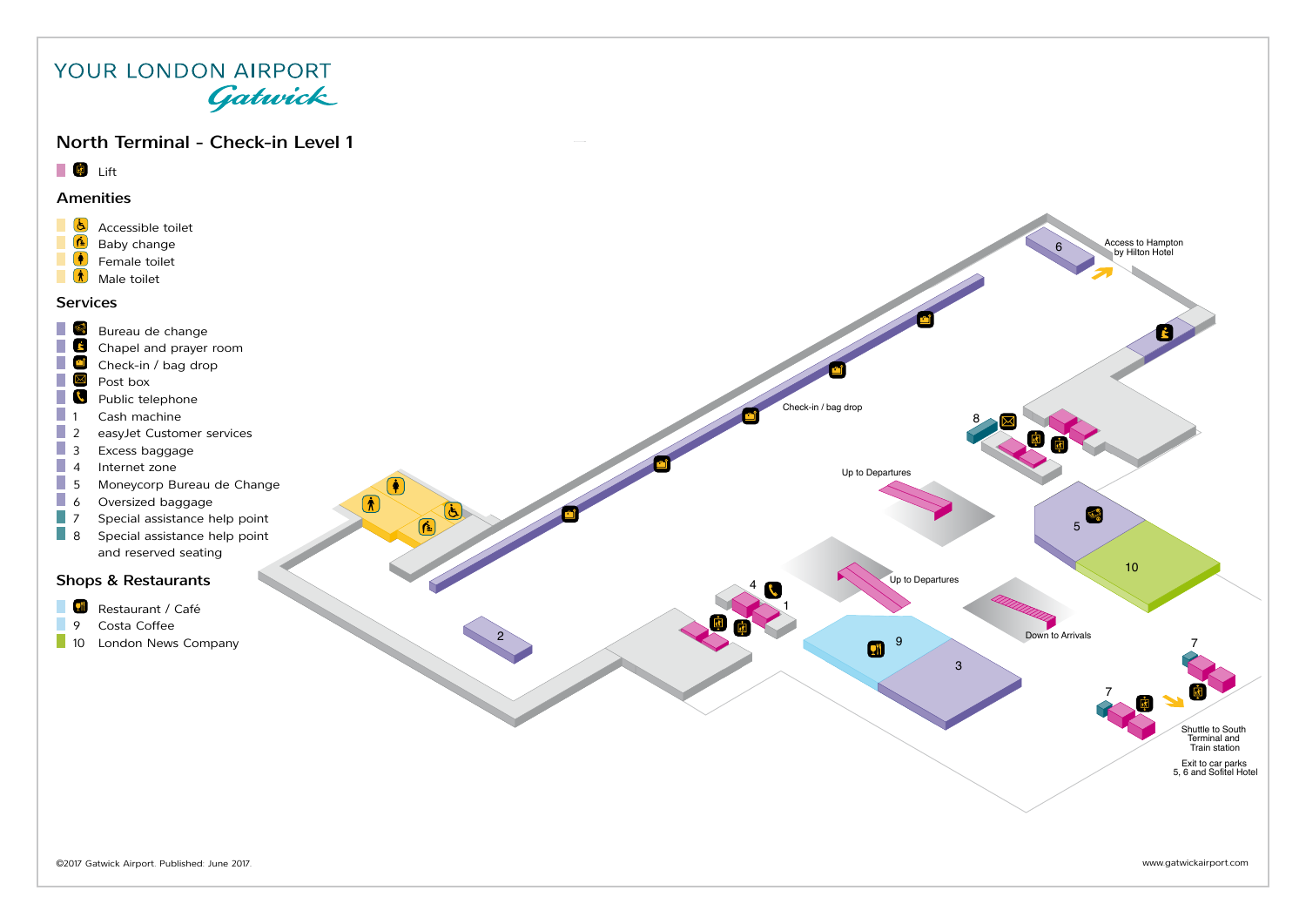### North Terminal - Check-in Level 1

**Lift** 

#### Amenities

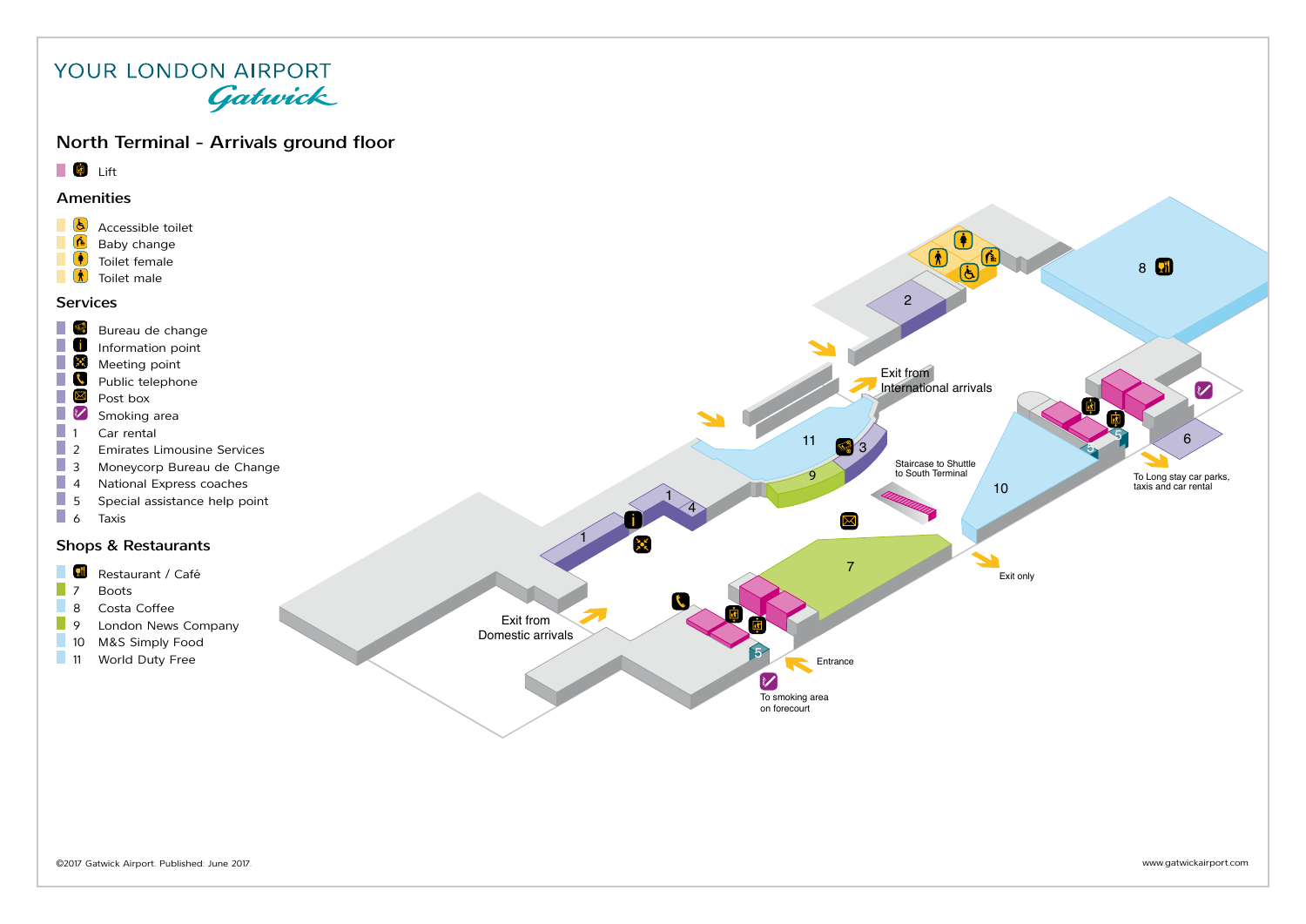#### North Terminal - Arrivals ground floor

### **Lift**

#### Amenities



7 Emirates Airline Desk

17 Shopping Collection Point



2

 $\Omega$ 

8 **a**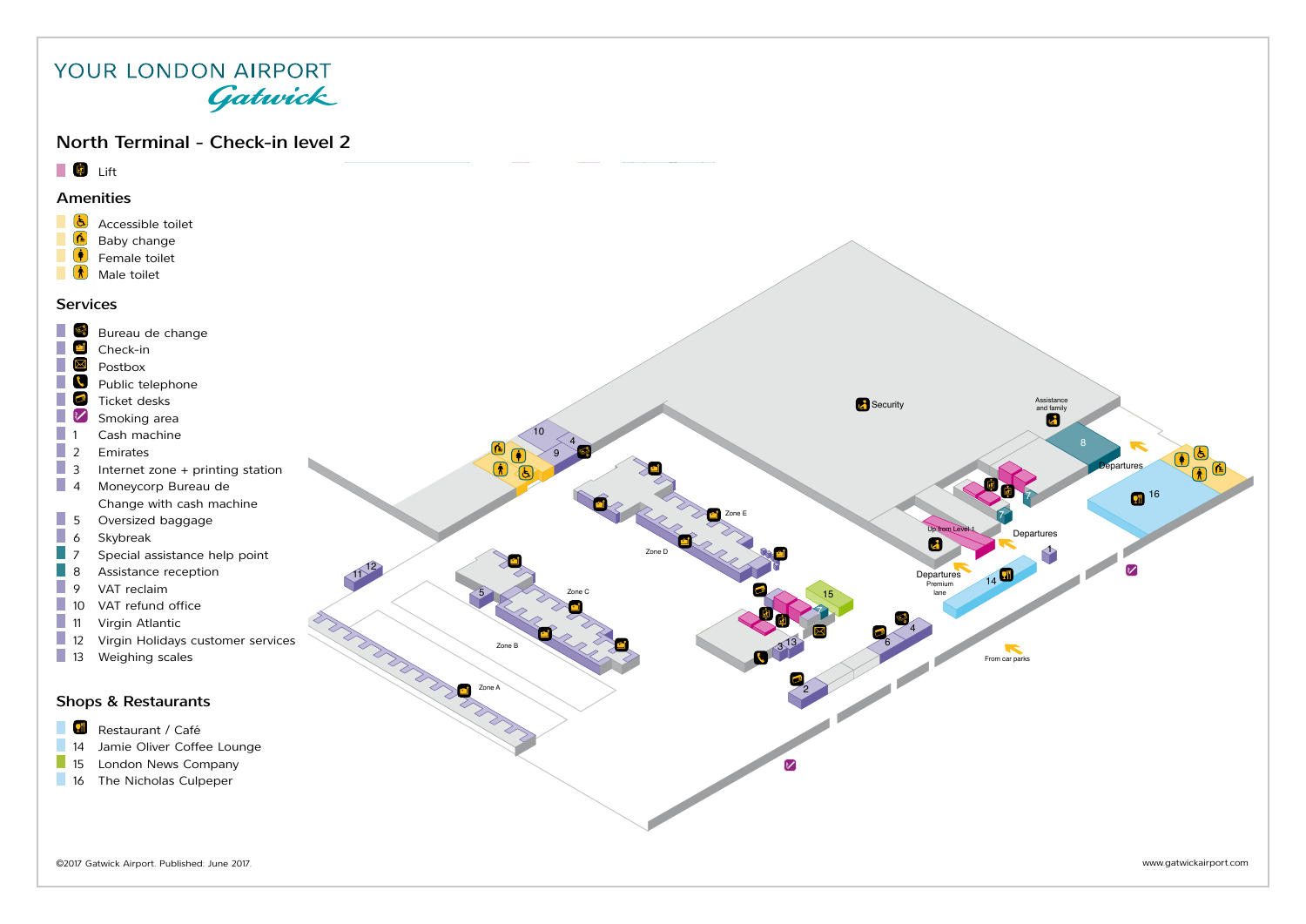#### YOUR LONDON AIRPORT Gatwick North Terminal - Check-in level 2 **Lift** 39 Amenities  $\frac{b}{\sqrt{2}}$  Accessible toilet Baby change  $\sum_{n=1}^{\infty}$ Female toilet  $\bar{N}$ Male toilet Services Bureau de change 9 Check-in ▔ Postbox  $\overline{\bullet}$  $\mathcal{C}^{\mathcal{A}}$ Public telephone  $\mathcal{C}^{\mathcal{A}}$  $\mathbf{C}^{\mathbf{b}}$ 7 Ticket desks Assistance Assistance Security Assistance and family Assistance and family  $\overline{A}$  $\overline{\mathbb{R}}$  $\boldsymbol{\mathcal{U}}$ Smoking area  $1$  Cash machine 10 4 8  $\overline{2}$ **Emirates** 9 8 3 Internet zone + printing station **Departures** 13 4 Moneycorp Bureau de **16** 7 Change with cash machine 5 Oversized baggage Zone E 7 P. Up from Level 6 Skybreak<br>
7 Special as Departures И Special assistance help point 1 Zone D 8 Assistance reception<br>9 VAT reclaim  $11^{12}$ Departures 14 9 VAT reclaim<br>10 VAT refund Premium 85 Zone C 15 lane 10 VAT refund office<br>11 Virgin Atlantic 7 11 Virgin Atlantic<br>12 Virgin Holidays 4 Virgin Holidays customer services Zone B  $3^{13}$ 6 From car parks 13 Weighing scales Zone A Zone A 2 Shops & Restaurants **Restaurant / Café** 14 Jamie Oliver Coffee Lounge<br>15 London News Company London News Company  $\triangledown$ 16 The Nicholas Culpeper